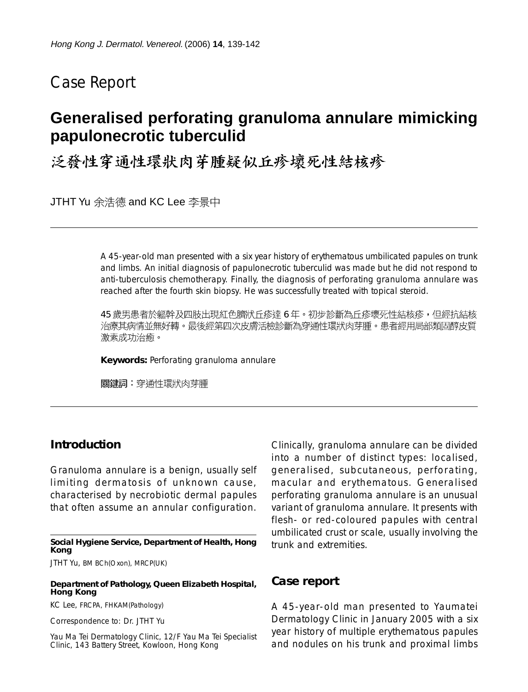# Case Report

# **Generalised perforating granuloma annulare mimicking papulonecrotic tuberculid**

泛發性穿通性環狀肉芽腫疑似丘疹壞死性結核疹

JTHT Yu 余浩德 and KC Lee 李景中

A 45-year-old man presented with a six year history of erythematous umbilicated papules on trunk and limbs. An initial diagnosis of papulonecrotic tuberculid was made but he did not respond to anti-tuberculosis chemotherapy. Finally, the diagnosis of perforating granuloma annulare was reached after the fourth skin biopsy. He was successfully treated with topical steroid.

45 歲男患者於軀幹及四肢出現紅色臍狀丘疹達 6 年。初步診斷為丘疹壞死性結核疹,但經抗結核 治療其病情並無好轉。最後經第四次皮膚活檢診斷為穿通性環狀肉芽腫。患者經用局部類固醇皮質 激素成功治癒。

**Keywords:** Perforating granuloma annulare

關鍵詞:穿通性環狀肉芽腫

### **Introduction**

Granuloma annulare is a benign, usually self limiting dermatosis of unknown cause, characterised by necrobiotic dermal papules that often assume an annular configuration.

#### **Social Hygiene Service, Department of Health, Hong Kong**

JTHT Yu, BM BCh(Oxon), MRCP(UK)

#### **Department of Pathology, Queen Elizabeth Hospital, Hong Kong**

KC Lee, FRCPA, FHKAM(Pathology)

Correspondence to: Dr. JTHT Yu

Yau Ma Tei Dermatology Clinic, 12/F Yau Ma Tei Specialist Clinic, 143 Battery Street, Kowloon, Hong Kong

Clinically, granuloma annulare can be divided into a number of distinct types: localised, generalised, subcutaneous, perforating, macular and erythematous. Generalised perforating granuloma annulare is an unusual variant of granuloma annulare. It presents with flesh- or red-coloured papules with central umbilicated crust or scale, usually involving the trunk and extremities.

### **Case report**

A 45-year-old man presented to Yaumatei Dermatology Clinic in January 2005 with a six year history of multiple erythematous papules and nodules on his trunk and proximal limbs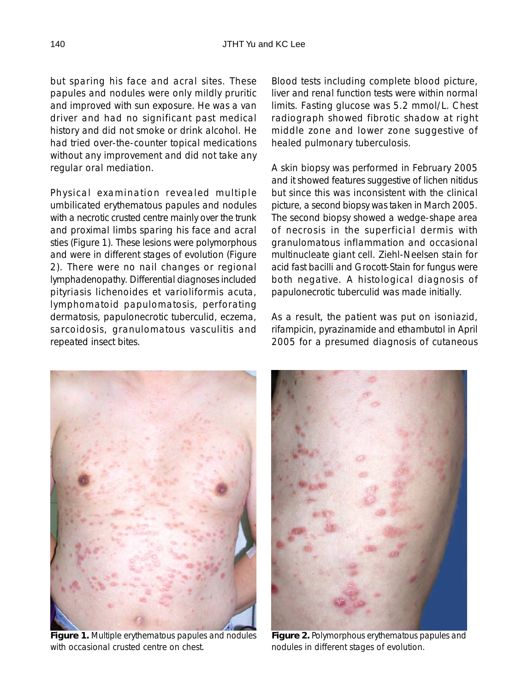but sparing his face and acral sites. These papules and nodules were only mildly pruritic and improved with sun exposure. He was a van driver and had no significant past medical history and did not smoke or drink alcohol. He had tried over-the-counter topical medications without any improvement and did not take any regular oral mediation.

Physical examination revealed multiple umbilicated erythematous papules and nodules with a necrotic crusted centre mainly over the trunk and proximal limbs sparing his face and acral sties (Figure 1). These lesions were polymorphous and were in different stages of evolution (Figure 2). There were no nail changes or regional lymphadenopathy. Differential diagnoses included pityriasis lichenoides et varioliformis acuta, lymphomatoid papulomatosis, perforating dermatosis, papulonecrotic tuberculid, eczema, sarcoidosis, granulomatous vasculitis and repeated insect bites.

Blood tests including complete blood picture, liver and renal function tests were within normal limits. Fasting glucose was 5.2 mmol/L. Chest radiograph showed fibrotic shadow at right middle zone and lower zone suggestive of healed pulmonary tuberculosis.

A skin biopsy was performed in February 2005 and it showed features suggestive of lichen nitidus but since this was inconsistent with the clinical picture, a second biopsy was taken in March 2005. The second biopsy showed a wedge-shape area of necrosis in the superficial dermis with granulomatous inflammation and occasional multinucleate giant cell. Ziehl-Neelsen stain for acid fast bacilli and Grocott-Stain for fungus were both negative. A histological diagnosis of papulonecrotic tuberculid was made initially.

As a result, the patient was put on isoniazid, rifampicin, pyrazinamide and ethambutol in April 2005 for a presumed diagnosis of cutaneous



**Figure 1.** Multiple erythematous papules and nodules with occasional crusted centre on chest.



**Figure 2.** Polymorphous erythematous papules and nodules in different stages of evolution.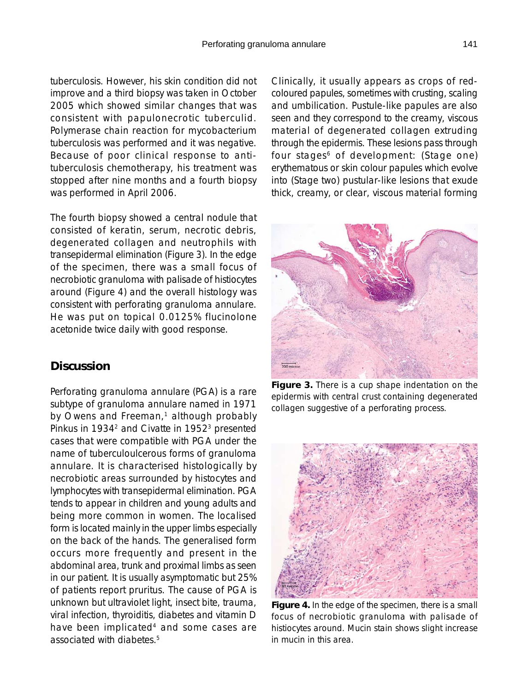tuberculosis. However, his skin condition did not improve and a third biopsy was taken in October 2005 which showed similar changes that was consistent with papulonecrotic tuberculid. Polymerase chain reaction for mycobacterium tuberculosis was performed and it was negative. Because of poor clinical response to antituberculosis chemotherapy, his treatment was stopped after nine months and a fourth biopsy was performed in April 2006.

The fourth biopsy showed a central nodule that consisted of keratin, serum, necrotic debris, degenerated collagen and neutrophils with transepidermal elimination (Figure 3). In the edge of the specimen, there was a small focus of necrobiotic granuloma with palisade of histiocytes around (Figure 4) and the overall histology was consistent with perforating granuloma annulare. He was put on topical 0.0125% flucinolone acetonide twice daily with good response.

## **Discussion**

Perforating granuloma annulare (PGA) is a rare subtype of granuloma annulare named in 1971 by Owens and Freeman, $1$  although probably Pinkus in 1934<sup>2</sup> and Civatte in 1952<sup>3</sup> presented cases that were compatible with PGA under the name of tuberculoulcerous forms of granuloma annulare. It is characterised histologically by necrobiotic areas surrounded by histocytes and lymphocytes with transepidermal elimination. PGA tends to appear in children and young adults and being more common in women. The localised form is located mainly in the upper limbs especially on the back of the hands. The generalised form occurs more frequently and present in the abdominal area, trunk and proximal limbs as seen in our patient. It is usually asymptomatic but 25% of patients report pruritus. The cause of PGA is unknown but ultraviolet light, insect bite, trauma, viral infection, thyroiditis, diabetes and vitamin D have been implicated<sup>4</sup> and some cases are associated with diabetes.5

Clinically, it usually appears as crops of redcoloured papules, sometimes with crusting, scaling and umbilication. Pustule-like papules are also seen and they correspond to the creamy, viscous material of degenerated collagen extruding through the epidermis. These lesions pass through four stages<sup>6</sup> of development: (Stage one) erythematous or skin colour papules which evolve into (Stage two) pustular-like lesions that exude thick, creamy, or clear, viscous material forming



**Figure 3.** There is a cup shape indentation on the epidermis with central crust containing degenerated collagen suggestive of a perforating process.



**Figure 4.** In the edge of the specimen, there is a small focus of necrobiotic granuloma with palisade of histiocytes around. Mucin stain shows slight increase in mucin in this area.